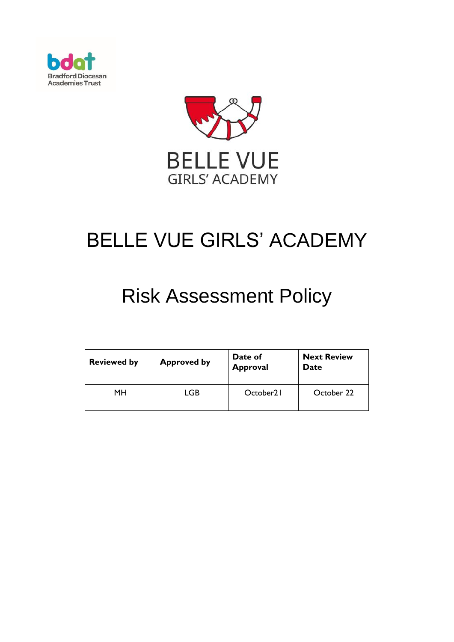



# BELLE VUE GIRLS' ACADEMY

## Risk Assessment Policy

| <b>Reviewed by</b> | <b>Approved by</b> | Date of<br><b>Approval</b> | <b>Next Review</b><br>Date |
|--------------------|--------------------|----------------------------|----------------------------|
| MН                 | LGB                | October <sub>21</sub>      | October 22                 |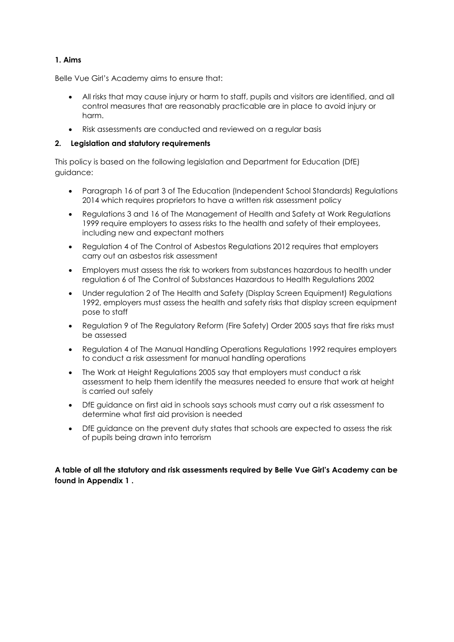#### **1. Aims**

Belle Vue Girl's Academy aims to ensure that:

- All risks that may cause injury or harm to staff, pupils and visitors are identified, and all control measures that are reasonably practicable are in place to avoid injury or harm.
- Risk assessments are conducted and reviewed on a regular basis

#### **2. Legislation and statutory requirements**

This policy is based on the following legislation and Department for Education (DfE) guidance:

- Paragraph 16 of part 3 of [The Education \(Independent School Standards\) Regulations](http://www.legislation.gov.uk/uksi/2014/3283/schedule/part/3/made)  [2014](http://www.legislation.gov.uk/uksi/2014/3283/schedule/part/3/made) which requires proprietors to have a written risk assessment policy
- Regulations 3 and 16 of [The Management of Health and Safety at Work Regulations](http://www.legislation.gov.uk/uksi/1999/3242/contents/made)  [1999](http://www.legislation.gov.uk/uksi/1999/3242/contents/made) require employers to assess risks to the health and safety of their employees, including new and expectant mothers
- Regulation 4 of [The Control of Asbestos Regulations 2012](http://www.legislation.gov.uk/uksi/2012/632/regulation/4/made) requires that employers carry out an asbestos risk assessment
- Employers must assess the risk to workers from substances hazardous to health under regulation 6 of [The Control of Substances Hazardous to Health Regulations 2002](http://www.legislation.gov.uk/uksi/2002/2677/regulation/6/made)
- Under regulation 2 of [The Health and Safety \(Display Screen Equipment\) Regulations](http://www.legislation.gov.uk/uksi/1992/2792/regulation/2/made)  [1992,](http://www.legislation.gov.uk/uksi/1992/2792/regulation/2/made) employers must assess the health and safety risks that display screen equipment pose to staff
- Regulation 9 of [The Regulatory Reform \(Fire Safety\) Order 2005](http://www.legislation.gov.uk/uksi/2005/1541/article/9/made) says that fire risks must be assessed
- Regulation 4 of [The Manual Handling Operations Regulations 1992](http://www.legislation.gov.uk/uksi/1992/2793/regulation/4/made) requires employers to conduct a risk assessment for manual handling operations
- [The Work at Height Regulations 2005](http://www.legislation.gov.uk/uksi/2005/735/regulation/6/made) say that employers must conduct a risk assessment to help them identify the measures needed to ensure that work at height is carried out safely
- [DfE guidance on first aid in schools](https://www.gov.uk/government/uploads/system/uploads/attachment_data/file/306370/guidance_on_first_aid_for_schools.pdf) says schools must carry out a risk assessment to determine what first aid provision is needed
- [DfE guidance on the prevent duty](https://www.gov.uk/government/uploads/system/uploads/attachment_data/file/445977/3799_Revised_Prevent_Duty_Guidance__England_Wales_V2-Interactive.pdf) states that schools are expected to assess the risk of pupils being drawn into terrorism

**A table of all the statutory and risk assessments required by Belle Vue Girl's Academy can be found in Appendix 1 .**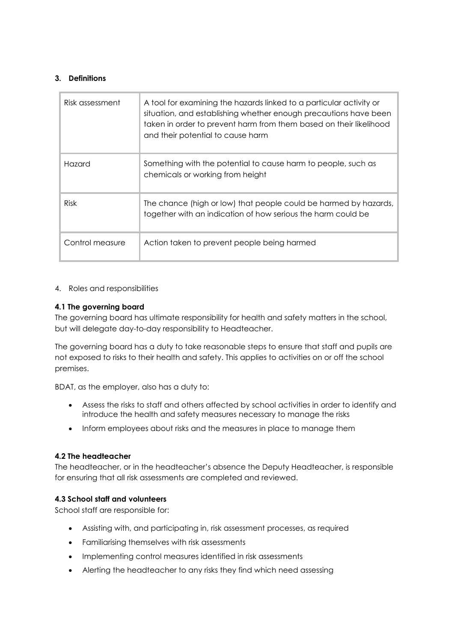#### **3. Definitions**

| Risk assessment | A tool for examining the hazards linked to a particular activity or<br>situation, and establishing whether enough precautions have been<br>taken in order to prevent harm from them based on their likelihood<br>and their potential to cause harm |
|-----------------|----------------------------------------------------------------------------------------------------------------------------------------------------------------------------------------------------------------------------------------------------|
| Hazard          | Something with the potential to cause harm to people, such as<br>chemicals or working from height                                                                                                                                                  |
| <b>Risk</b>     | The chance (high or low) that people could be harmed by hazards,<br>together with an indication of how serious the harm could be                                                                                                                   |
| Control measure | Action taken to prevent people being harmed                                                                                                                                                                                                        |

#### 4. Roles and responsibilities

#### **4.1 The governing board**

The governing board has ultimate responsibility for health and safety matters in the school, but will delegate day-to-day responsibility to Headteacher.

The governing board has a duty to take reasonable steps to ensure that staff and pupils are not exposed to risks to their health and safety. This applies to activities on or off the school premises.

BDAT, as the employer, also has a duty to:

- Assess the risks to staff and others affected by school activities in order to identify and introduce the health and safety measures necessary to manage the risks
- Inform employees about risks and the measures in place to manage them

#### **4.2 The headteacher**

The headteacher, or in the headteacher's absence the Deputy Headteacher, is responsible for ensuring that all risk assessments are completed and reviewed.

#### **4.3 School staff and volunteers**

School staff are responsible for:

- Assisting with, and participating in, risk assessment processes, as required
- Familiarising themselves with risk assessments
- Implementing control measures identified in risk assessments
- Alerting the headteacher to any risks they find which need assessing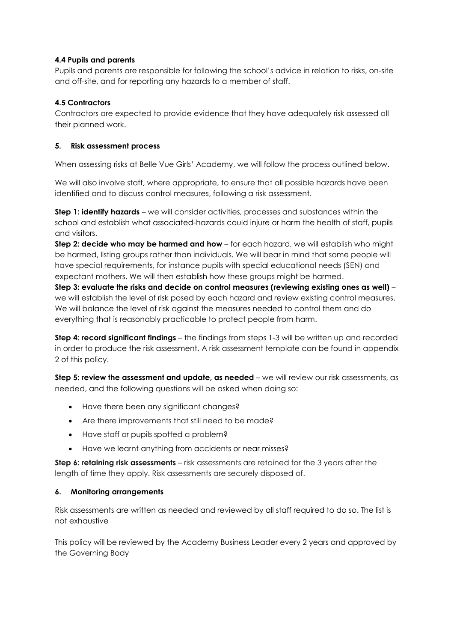#### **4.4 Pupils and parents**

Pupils and parents are responsible for following the school's advice in relation to risks, on-site and off-site, and for reporting any hazards to a member of staff.

### **4.5 Contractors**

Contractors are expected to provide evidence that they have adequately risk assessed all their planned work.

#### **5. Risk assessment process**

When assessing risks at Belle Vue Girls' Academy, we will follow the process outlined below.

We will also involve staff, where appropriate, to ensure that all possible hazards have been identified and to discuss control measures, following a risk assessment.

**Step 1: identify hazards** – we will consider activities, processes and substances within the school and establish what associated-hazards could injure or harm the health of staff, pupils and visitors.

**Step 2: decide who may be harmed and how** – for each hazard, we will establish who might be harmed, listing groups rather than individuals. We will bear in mind that some people will have special requirements, for instance pupils with special educational needs (SEN) and expectant mothers. We will then establish how these groups might be harmed.

**Step 3: evaluate the risks and decide on control measures (reviewing existing ones as well)** – we will establish the level of risk posed by each hazard and review existing control measures. We will balance the level of risk against the measures needed to control them and do everything that is reasonably practicable to protect people from harm.

**Step 4: record significant findings** – the findings from steps 1-3 will be written up and recorded in order to produce the risk assessment. A risk assessment template can be found in appendix 2 of this policy.

**Step 5: review the assessment and update, as needed** – we will review our risk assessments, as needed, and the following questions will be asked when doing so:

- Have there been any significant changes?
- Are there improvements that still need to be made?
- Have staff or pupils spotted a problem?
- Have we learnt anything from accidents or near misses?

**Step 6: retaining risk assessments** – risk assessments are retained for the 3 years after the length of time they apply. Risk assessments are securely disposed of.

#### **6. Monitoring arrangements**

Risk assessments are written as needed and reviewed by all staff required to do so. The list is not exhaustive

This policy will be reviewed by the Academy Business Leader every 2 years and approved by the Governing Body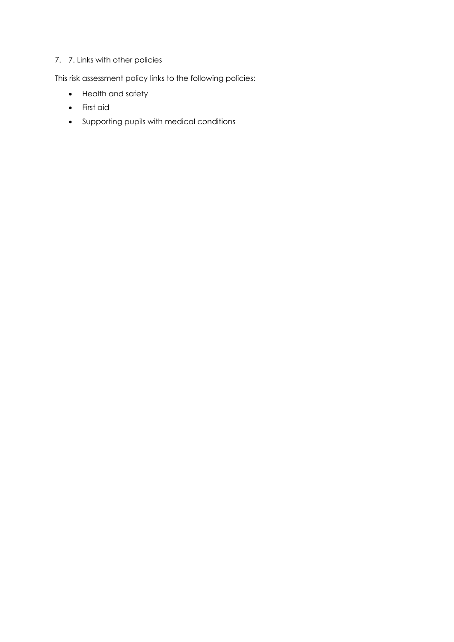## 7. 7. Links with other policies

This risk assessment policy links to the following policies:

- Health and safety
- First aid
- Supporting pupils with medical conditions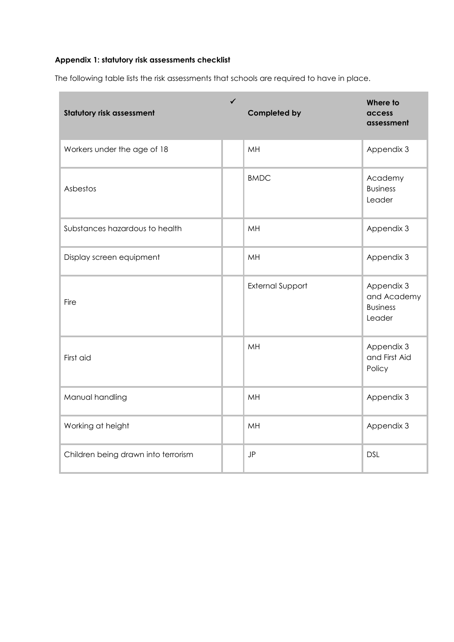## **Appendix 1: statutory risk assessments checklist**

The following table lists the risk assessments that schools are required to have in place.

| <b>Statutory risk assessment</b>    | $\checkmark$ | <b>Completed by</b>     | Where to<br>access<br>assessment                       |
|-------------------------------------|--------------|-------------------------|--------------------------------------------------------|
| Workers under the age of 18         |              | MH                      | Appendix 3                                             |
| Asbestos                            |              | <b>BMDC</b>             | Academy<br><b>Business</b><br>Leader                   |
| Substances hazardous to health      |              | MH                      | Appendix 3                                             |
| Display screen equipment            |              | MH                      | Appendix 3                                             |
| Fire                                |              | <b>External Support</b> | Appendix 3<br>and Academy<br><b>Business</b><br>Leader |
| First aid                           |              | MH                      | Appendix 3<br>and First Aid<br>Policy                  |
| Manual handling                     |              | MH                      | Appendix 3                                             |
| Working at height                   |              | MH                      | Appendix 3                                             |
| Children being drawn into terrorism |              | JP                      | <b>DSL</b>                                             |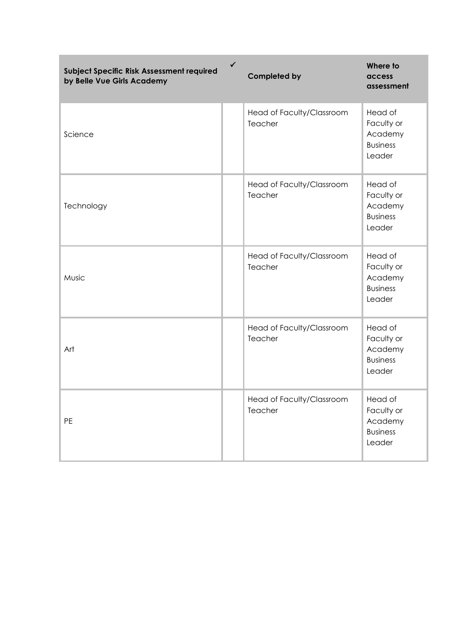| Subject Specific Risk Assessment required<br>by Belle Vue Girls Academy | $\checkmark$ | <b>Completed by</b>                  | Where to<br>access<br>assessment                              |
|-------------------------------------------------------------------------|--------------|--------------------------------------|---------------------------------------------------------------|
| Science                                                                 |              | Head of Faculty/Classroom<br>Teacher | Head of<br>Faculty or<br>Academy<br><b>Business</b><br>Leader |
| Technology                                                              |              | Head of Faculty/Classroom<br>Teacher | Head of<br>Faculty or<br>Academy<br><b>Business</b><br>Leader |
| Music                                                                   |              | Head of Faculty/Classroom<br>Teacher | Head of<br>Faculty or<br>Academy<br><b>Business</b><br>Leader |
| Art                                                                     |              | Head of Faculty/Classroom<br>Teacher | Head of<br>Faculty or<br>Academy<br><b>Business</b><br>Leader |
| PE                                                                      |              | Head of Faculty/Classroom<br>Teacher | Head of<br>Faculty or<br>Academy<br><b>Business</b><br>Leader |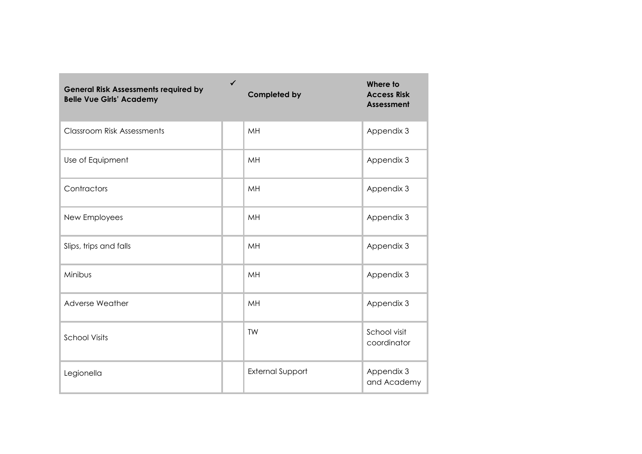| <b>General Risk Assessments required by</b><br><b>Belle Vue Girls' Academy</b> | ✓ | <b>Completed by</b>     | Where to<br><b>Access Risk</b><br><b>Assessment</b> |
|--------------------------------------------------------------------------------|---|-------------------------|-----------------------------------------------------|
| <b>Classroom Risk Assessments</b>                                              |   | MH                      | Appendix 3                                          |
| Use of Equipment                                                               |   | MH                      | Appendix 3                                          |
| Contractors                                                                    |   | MH                      | Appendix 3                                          |
| New Employees                                                                  |   | MH                      | Appendix 3                                          |
| Slips, trips and falls                                                         |   | MH                      | Appendix 3                                          |
| Minibus                                                                        |   | MH                      | Appendix 3                                          |
| Adverse Weather                                                                |   | MH                      | Appendix 3                                          |
| <b>School Visits</b>                                                           |   | TW                      | School visit<br>coordinator                         |
| Legionella                                                                     |   | <b>External Support</b> | Appendix 3<br>and Academy                           |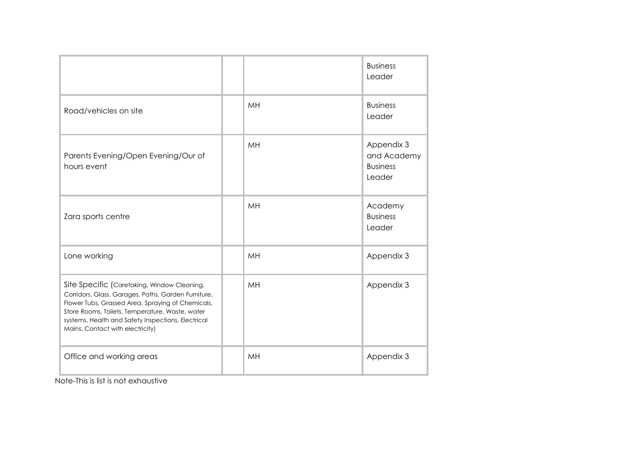|                                                                                                                                                                                                                                                                                                      |    | <b>Business</b><br>Leader                              |
|------------------------------------------------------------------------------------------------------------------------------------------------------------------------------------------------------------------------------------------------------------------------------------------------------|----|--------------------------------------------------------|
| Road/vehicles on site                                                                                                                                                                                                                                                                                | MH | <b>Business</b><br>Leader                              |
| Parents Evening/Open Evening/Our of<br>hours event                                                                                                                                                                                                                                                   | MH | Appendix 3<br>and Academy<br><b>Business</b><br>Leader |
| Zara sports centre                                                                                                                                                                                                                                                                                   | MH | Academy<br><b>Business</b><br>Leader                   |
| Lone working                                                                                                                                                                                                                                                                                         | MH | Appendix 3                                             |
| Site Specific (Caretaking, Window Cleaning,<br>Corridors, Glass. Garages, Paths, Garden Furniture,<br>Flower Tubs, Grassed Area, Spraying of Chemicals,<br>Store Rooms, Toilets, Temperature, Waste, water<br>systems, Health and Safety Inspections, Electrical<br>Mains, Contact with electricity) | MH | Appendix 3                                             |
| Office and working areas                                                                                                                                                                                                                                                                             | MH | Appendix 3                                             |

Note-This is list is not exhaustive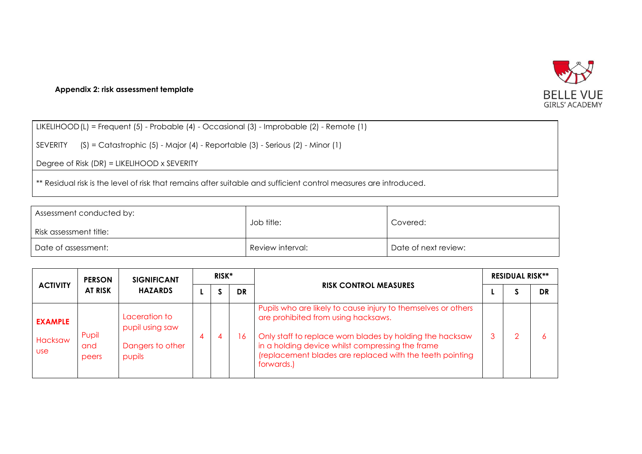

#### **Appendix 2: risk assessment template**

LIKELIHOOD(L) = Frequent (5) - Probable (4) - Occasional (3) - Improbable (2) - Remote (1)

SEVERITY (S) = Catastrophic (5) - Major (4) - Reportable (3) - Serious (2) - Minor (1)

Degree of Risk (DR) = LIKELIHOOD x SEVERITY

\*\* Residual risk is the level of risk that remains after suitable and sufficient control measures are introduced.

| Assessment conducted by:<br>Risk assessment title: | Job title:       | Covered:             |
|----------------------------------------------------|------------------|----------------------|
| Date of assessment:                                | Review interval: | Date of next review: |

| <b>ACTIVITY</b>                         | <b>PERSON</b><br><b>AT RISK</b> | <b>SIGNIFICANT</b><br><b>HAZARDS</b>                           | RISK* |  |           |                                                                                                                                                                                                                                                                                                | <b>RESIDUAL RISK**</b> |  |    |
|-----------------------------------------|---------------------------------|----------------------------------------------------------------|-------|--|-----------|------------------------------------------------------------------------------------------------------------------------------------------------------------------------------------------------------------------------------------------------------------------------------------------------|------------------------|--|----|
|                                         |                                 |                                                                |       |  | <b>DR</b> | <b>RISK CONTROL MEASURES</b>                                                                                                                                                                                                                                                                   |                        |  | DR |
| <b>EXAMPLE</b><br>Hacksaw<br><b>USe</b> | Pupil<br>and<br>peers           | Laceration to<br>pupil using saw<br>Dangers to other<br>pupils | 4     |  | 6         | Pupils who are likely to cause injury to themselves or others<br>are prohibited from using hacksaws.<br>Only staff to replace worn blades by holding the hacksaw<br>in a holding device whilst compressing the frame<br>(replacement blades are replaced with the teeth pointing<br>forwards.) |                        |  |    |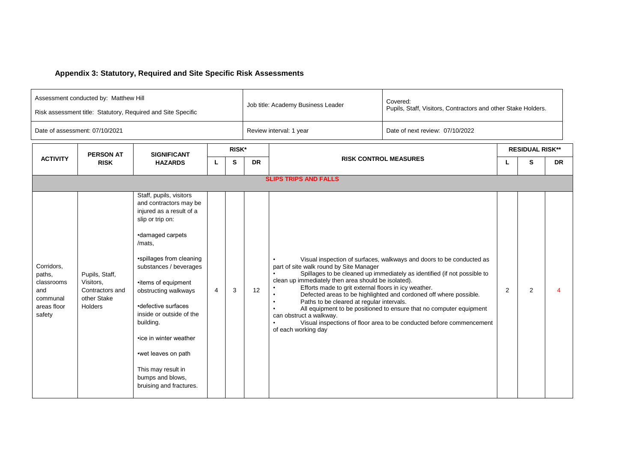## **Appendix 3: Statutory, Required and Site Specific Risk Assessments**

| Assessment conducted by: Matthew Hill<br>Risk assessment title: Statutory, Required and Site Specific |                                                                          |                                                                                                                                                                                                                                                                                                                                                                                                                            |   |       |           | Job title: Academy Business Leader                                                                                                                                                                                                                                 | Covered:<br>Pupils, Staff, Visitors, Contractors and other Stake Holders.                                                                                                                                                                                                                                                                                            |   |                        |                          |  |
|-------------------------------------------------------------------------------------------------------|--------------------------------------------------------------------------|----------------------------------------------------------------------------------------------------------------------------------------------------------------------------------------------------------------------------------------------------------------------------------------------------------------------------------------------------------------------------------------------------------------------------|---|-------|-----------|--------------------------------------------------------------------------------------------------------------------------------------------------------------------------------------------------------------------------------------------------------------------|----------------------------------------------------------------------------------------------------------------------------------------------------------------------------------------------------------------------------------------------------------------------------------------------------------------------------------------------------------------------|---|------------------------|--------------------------|--|
|                                                                                                       | Date of assessment: 07/10/2021                                           |                                                                                                                                                                                                                                                                                                                                                                                                                            |   |       |           | Review interval: 1 year                                                                                                                                                                                                                                            | Date of next review: 07/10/2022                                                                                                                                                                                                                                                                                                                                      |   |                        |                          |  |
|                                                                                                       | <b>PERSON AT</b><br><b>SIGNIFICANT</b>                                   |                                                                                                                                                                                                                                                                                                                                                                                                                            |   | RISK* |           |                                                                                                                                                                                                                                                                    |                                                                                                                                                                                                                                                                                                                                                                      |   | <b>RESIDUAL RISK**</b> |                          |  |
| <b>ACTIVITY</b>                                                                                       | <b>RISK</b>                                                              | <b>HAZARDS</b>                                                                                                                                                                                                                                                                                                                                                                                                             | L | S     | <b>DR</b> |                                                                                                                                                                                                                                                                    | <b>RISK CONTROL MEASURES</b>                                                                                                                                                                                                                                                                                                                                         |   | S                      | <b>DR</b>                |  |
|                                                                                                       |                                                                          |                                                                                                                                                                                                                                                                                                                                                                                                                            |   |       |           | <b>SLIPS TRIPS AND FALLS</b>                                                                                                                                                                                                                                       |                                                                                                                                                                                                                                                                                                                                                                      |   |                        |                          |  |
| Corridors,<br>paths,<br>classrooms<br>and<br>communal<br>areas floor<br>safety                        | Pupils, Staff,<br>Visitors,<br>Contractors and<br>other Stake<br>Holders | Staff, pupils, visitors<br>and contractors may be<br>injured as a result of a<br>slip or trip on:<br>•damaged carpets<br>/mats,<br>•spillages from cleaning<br>substances / beverages<br>•items of equipment<br>obstructing walkways<br>•defective surfaces<br>inside or outside of the<br>building.<br>•ice in winter weather<br>•wet leaves on path<br>This may result in<br>bumps and blows,<br>bruising and fractures. | 4 | 3     | 12        | part of site walk round by Site Manager<br>clean up immediately then area should be isolated).<br>Efforts made to grit external floors in icy weather.<br>Paths to be cleared at regular intervals.<br>$\bullet$<br>can obstruct a walkway.<br>of each working day | Visual inspection of surfaces, walkways and doors to be conducted as<br>Spillages to be cleaned up immediately as identified (if not possible to<br>Defected areas to be highlighted and cordoned off where possible.<br>All equipment to be positioned to ensure that no computer equipment<br>Visual inspections of floor area to be conducted before commencement | 2 | $\overline{2}$         | $\boldsymbol{\varDelta}$ |  |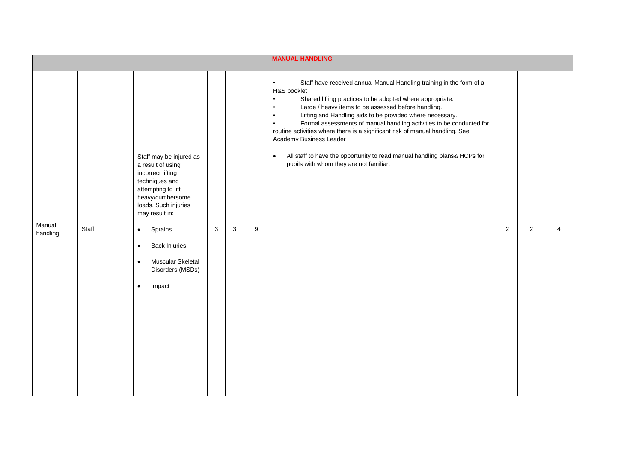|                    |       |                                                                                                                                                                                                                                                                                                                   |   |        | <b>MANUAL HANDLING</b>                                                                                                                                                                                                                                                                                                                                                                                                                                                                                                                                                                                                                                        |   |                |   |
|--------------------|-------|-------------------------------------------------------------------------------------------------------------------------------------------------------------------------------------------------------------------------------------------------------------------------------------------------------------------|---|--------|---------------------------------------------------------------------------------------------------------------------------------------------------------------------------------------------------------------------------------------------------------------------------------------------------------------------------------------------------------------------------------------------------------------------------------------------------------------------------------------------------------------------------------------------------------------------------------------------------------------------------------------------------------------|---|----------------|---|
| Manual<br>handling | Staff | Staff may be injured as<br>a result of using<br>incorrect lifting<br>techniques and<br>attempting to lift<br>heavy/cumbersome<br>loads. Such injuries<br>may result in:<br>Sprains<br>$\bullet$<br><b>Back Injuries</b><br>$\bullet$<br>Muscular Skeletal<br>$\bullet$<br>Disorders (MSDs)<br>Impact<br>$\bullet$ | 3 | 3<br>9 | Staff have received annual Manual Handling training in the form of a<br>$\bullet$<br>H&S booklet<br>Shared lifting practices to be adopted where appropriate.<br>$\bullet$<br>Large / heavy items to be assessed before handling.<br>$\bullet$<br>Lifting and Handling aids to be provided where necessary.<br>$\bullet$<br>Formal assessments of manual handling activities to be conducted for<br>$\bullet$<br>routine activities where there is a significant risk of manual handling. See<br>Academy Business Leader<br>All staff to have the opportunity to read manual handling plans& HCPs for<br>$\bullet$<br>pupils with whom they are not familiar. | 2 | $\overline{2}$ | 4 |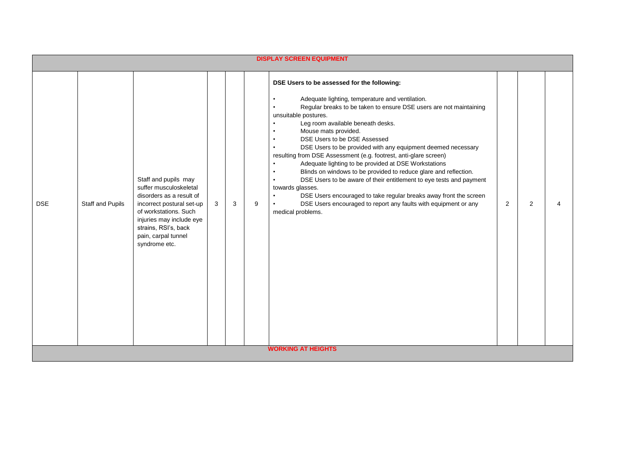|            |                  |                                                                                                                                                                                                                              |   |   | <b>DISPLAY SCREEN EQUIPMENT</b>                                                                                                                                                                                                                                                                                                                                                                                                                                                                                                                                                                                                                                                                                                                                                                                                                                                                                                                             |   |   |   |
|------------|------------------|------------------------------------------------------------------------------------------------------------------------------------------------------------------------------------------------------------------------------|---|---|-------------------------------------------------------------------------------------------------------------------------------------------------------------------------------------------------------------------------------------------------------------------------------------------------------------------------------------------------------------------------------------------------------------------------------------------------------------------------------------------------------------------------------------------------------------------------------------------------------------------------------------------------------------------------------------------------------------------------------------------------------------------------------------------------------------------------------------------------------------------------------------------------------------------------------------------------------------|---|---|---|
| <b>DSE</b> | Staff and Pupils | Staff and pupils may<br>suffer musculoskeletal<br>disorders as a result of<br>incorrect postural set-up<br>of workstations. Such<br>injuries may include eye<br>strains, RSI's, back<br>pain, carpal tunnel<br>syndrome etc. | 3 | 3 | DSE Users to be assessed for the following:<br>Adequate lighting, temperature and ventilation.<br>$\bullet$<br>Regular breaks to be taken to ensure DSE users are not maintaining<br>unsuitable postures.<br>Leg room available beneath desks.<br>$\bullet$<br>Mouse mats provided.<br>DSE Users to be DSE Assessed<br>$\bullet$<br>DSE Users to be provided with any equipment deemed necessary<br>resulting from DSE Assessment (e.g. footrest, anti-glare screen)<br>Adequate lighting to be provided at DSE Workstations<br>$\bullet$<br>Blinds on windows to be provided to reduce glare and reflection.<br>$\bullet$<br>DSE Users to be aware of their entitlement to eye tests and payment<br>$\bullet$<br>towards glasses.<br>DSE Users encouraged to take regular breaks away front the screen<br>$\bullet$<br>9<br>DSE Users encouraged to report any faults with equipment or any<br>$\bullet$<br>medical problems.<br><b>WORKING AT HEIGHTS</b> | 2 | 2 | Δ |
|            |                  |                                                                                                                                                                                                                              |   |   |                                                                                                                                                                                                                                                                                                                                                                                                                                                                                                                                                                                                                                                                                                                                                                                                                                                                                                                                                             |   |   |   |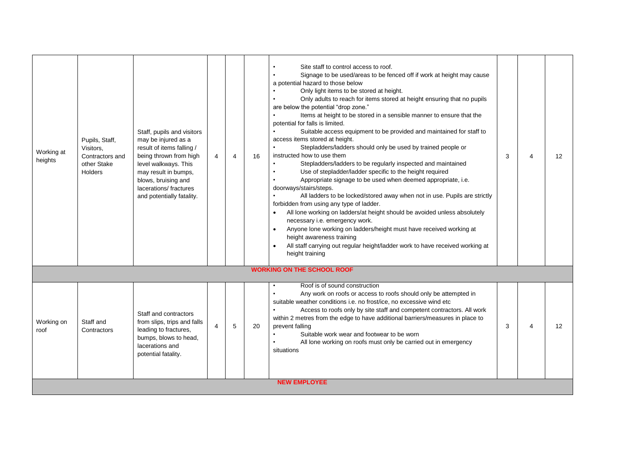| Working at<br>heights | Pupils, Staff,<br>Visitors,<br>Contractors and<br>other Stake<br><b>Holders</b> | Staff, pupils and visitors<br>may be injured as a<br>result of items falling /<br>being thrown from high<br>level walkways. This<br>may result in bumps,<br>blows, bruising and<br>lacerations/ fractures<br>and potentially fatality. | 4 | 4 | 16 | Site staff to control access to roof.<br>Signage to be used/areas to be fenced off if work at height may cause<br>$\bullet$<br>a potential hazard to those below<br>Only light items to be stored at height.<br>Only adults to reach for items stored at height ensuring that no pupils<br>$\bullet$<br>are below the potential "drop zone."<br>Items at height to be stored in a sensible manner to ensure that the<br>potential for falls is limited.<br>Suitable access equipment to be provided and maintained for staff to<br>access items stored at height.<br>Stepladders/ladders should only be used by trained people or<br>$\bullet$<br>instructed how to use them<br>Stepladders/ladders to be regularly inspected and maintained<br>$\bullet$<br>Use of stepladder/ladder specific to the height required<br>$\bullet$<br>Appropriate signage to be used when deemed appropriate, i.e.<br>doorways/stairs/steps.<br>All ladders to be locked/stored away when not in use. Pupils are strictly<br>forbidden from using any type of ladder.<br>All lone working on ladders/at height should be avoided unless absolutely<br>$\bullet$<br>necessary i.e. emergency work.<br>Anyone lone working on ladders/height must have received working at<br>$\bullet$<br>height awareness training<br>$\bullet$<br>All staff carrying out regular height/ladder work to have received working at<br>height training | 3 |   | $12 \overline{ }$ |
|-----------------------|---------------------------------------------------------------------------------|----------------------------------------------------------------------------------------------------------------------------------------------------------------------------------------------------------------------------------------|---|---|----|---------------------------------------------------------------------------------------------------------------------------------------------------------------------------------------------------------------------------------------------------------------------------------------------------------------------------------------------------------------------------------------------------------------------------------------------------------------------------------------------------------------------------------------------------------------------------------------------------------------------------------------------------------------------------------------------------------------------------------------------------------------------------------------------------------------------------------------------------------------------------------------------------------------------------------------------------------------------------------------------------------------------------------------------------------------------------------------------------------------------------------------------------------------------------------------------------------------------------------------------------------------------------------------------------------------------------------------------------------------------------------------------------------------------|---|---|-------------------|
|                       |                                                                                 |                                                                                                                                                                                                                                        |   |   |    | <b>WORKING ON THE SCHOOL ROOF</b>                                                                                                                                                                                                                                                                                                                                                                                                                                                                                                                                                                                                                                                                                                                                                                                                                                                                                                                                                                                                                                                                                                                                                                                                                                                                                                                                                                                   |   |   |                   |
| Working on<br>roof    | Staff and<br>Contractors                                                        | Staff and contractors<br>from slips, trips and falls<br>leading to fractures,<br>bumps, blows to head,<br>lacerations and<br>potential fatality.                                                                                       | 4 | 5 | 20 | Roof is of sound construction<br>$\bullet$<br>Any work on roofs or access to roofs should only be attempted in<br>$\bullet$<br>suitable weather conditions i.e. no frost/ice, no excessive wind etc<br>$\bullet$<br>Access to roofs only by site staff and competent contractors. All work<br>within 2 metres from the edge to have additional barriers/measures in place to<br>prevent falling<br>Suitable work wear and footwear to be worn<br>All lone working on roofs must only be carried out in emergency<br>situations                                                                                                                                                                                                                                                                                                                                                                                                                                                                                                                                                                                                                                                                                                                                                                                                                                                                                      | 3 | Δ | 12                |
|                       |                                                                                 |                                                                                                                                                                                                                                        |   |   |    | <b>NEW EMPLOYEE</b>                                                                                                                                                                                                                                                                                                                                                                                                                                                                                                                                                                                                                                                                                                                                                                                                                                                                                                                                                                                                                                                                                                                                                                                                                                                                                                                                                                                                 |   |   |                   |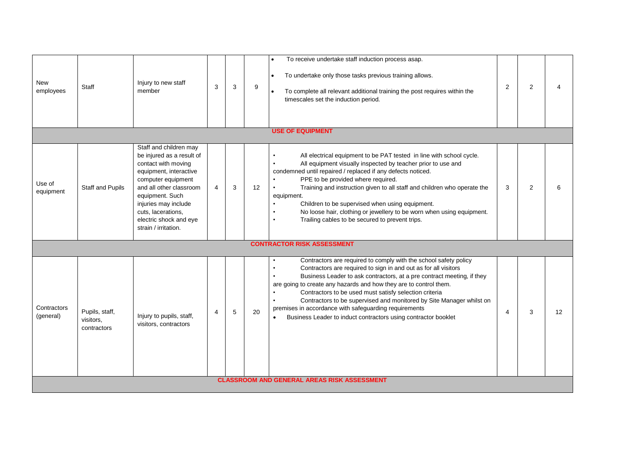| <b>New</b><br>employees  | Staff                                      | Injury to new staff<br>member                                                                                                                                                                                                                                            | 3 | 3 | To receive undertake staff induction process asap.<br>To undertake only those tasks previous training allows.<br>$\bullet$<br>9<br>To complete all relevant additional training the post requires within the<br>$\bullet$<br>timescales set the induction period.<br><b>USE OF EQUIPMENT</b>                                                                                                                                                                                                                                                          | 2 | $\overline{2}$ | Δ  |  |  |
|--------------------------|--------------------------------------------|--------------------------------------------------------------------------------------------------------------------------------------------------------------------------------------------------------------------------------------------------------------------------|---|---|-------------------------------------------------------------------------------------------------------------------------------------------------------------------------------------------------------------------------------------------------------------------------------------------------------------------------------------------------------------------------------------------------------------------------------------------------------------------------------------------------------------------------------------------------------|---|----------------|----|--|--|
|                          |                                            |                                                                                                                                                                                                                                                                          |   |   |                                                                                                                                                                                                                                                                                                                                                                                                                                                                                                                                                       |   |                |    |  |  |
| Use of<br>equipment      | <b>Staff and Pupils</b>                    | Staff and children may<br>be injured as a result of<br>contact with moving<br>equipment, interactive<br>computer equipment<br>and all other classroom<br>equipment. Such<br>injuries may include<br>cuts, lacerations,<br>electric shock and eye<br>strain / irritation. | 4 | 3 | All electrical equipment to be PAT tested in line with school cycle.<br>$\bullet$<br>All equipment visually inspected by teacher prior to use and<br>$\bullet$<br>condemned until repaired / replaced if any defects noticed.<br>PPE to be provided where required.<br>12<br>Training and instruction given to all staff and children who operate the<br>equipment.<br>Children to be supervised when using equipment.<br>No loose hair, clothing or jewellery to be worn when using equipment.<br>Trailing cables to be secured to prevent trips.    | 3 | 2              | 6  |  |  |
|                          |                                            |                                                                                                                                                                                                                                                                          |   |   | <b>CONTRACTOR RISK ASSESSMENT</b>                                                                                                                                                                                                                                                                                                                                                                                                                                                                                                                     |   |                |    |  |  |
| Contractors<br>(general) | Pupils, staff,<br>visitors,<br>contractors | Injury to pupils, staff,<br>visitors, contractors                                                                                                                                                                                                                        | 4 | 5 | Contractors are required to comply with the school safety policy<br>Contractors are required to sign in and out as for all visitors<br>Business Leader to ask contractors, at a pre contract meeting, if they<br>are going to create any hazards and how they are to control them.<br>Contractors to be used must satisfy selection criteria<br>Contractors to be supervised and monitored by Site Manager whilst on<br>premises in accordance with safeguarding requirements<br>20<br>Business Leader to induct contractors using contractor booklet | 4 | 3              | 12 |  |  |
|                          |                                            |                                                                                                                                                                                                                                                                          |   |   | <b>CLASSROOM AND GENERAL AREAS RISK ASSESSMENT</b>                                                                                                                                                                                                                                                                                                                                                                                                                                                                                                    |   |                |    |  |  |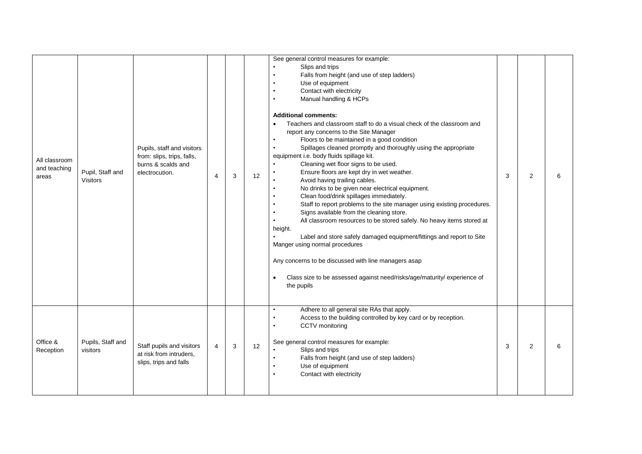| All classroom<br>and teaching<br>areas | Pupil, Staff and<br>Visitors  | Pupils, staff and visitors<br>from: slips, trips, falls,<br>burns & scalds and<br>electrocution. | $\overline{4}$ | 3 | 12 | See general control measures for example:<br>Slips and trips<br>Falls from height (and use of step ladders)<br>$\bullet$<br>Use of equipment<br>$\bullet$<br>Contact with electricity<br>$\bullet$<br>Manual handling & HCPs<br>$\bullet$<br><b>Additional comments:</b><br>Teachers and classroom staff to do a visual check of the classroom and<br>$\bullet$<br>report any concerns to the Site Manager<br>Floors to be maintained in a good condition<br>Spillages cleaned promptly and thoroughly using the appropriate<br>equipment i.e. body fluids spillage kit.<br>Cleaning wet floor signs to be used.<br>$\bullet$<br>Ensure floors are kept dry in wet weather.<br>Avoid having trailing cables.<br>No drinks to be given near electrical equipment.<br>$\bullet$<br>Clean food/drink spillages immediately.<br>$\bullet$<br>Staff to report problems to the site manager using existing procedures.<br>Signs available from the cleaning store.<br>All classroom resources to be stored safely. No heavy items stored at<br>$\bullet$<br>height.<br>Label and store safely damaged equipment/fittings and report to Site<br>Manger using normal procedures<br>Any concerns to be discussed with line managers asap<br>Class size to be assessed against need/risks/age/maturity/experience of<br>$\bullet$<br>the pupils | 3 | 2 | 6 |
|----------------------------------------|-------------------------------|--------------------------------------------------------------------------------------------------|----------------|---|----|---------------------------------------------------------------------------------------------------------------------------------------------------------------------------------------------------------------------------------------------------------------------------------------------------------------------------------------------------------------------------------------------------------------------------------------------------------------------------------------------------------------------------------------------------------------------------------------------------------------------------------------------------------------------------------------------------------------------------------------------------------------------------------------------------------------------------------------------------------------------------------------------------------------------------------------------------------------------------------------------------------------------------------------------------------------------------------------------------------------------------------------------------------------------------------------------------------------------------------------------------------------------------------------------------------------------------------------|---|---|---|
| Office &<br>Reception                  | Pupils, Staff and<br>visitors | Staff pupils and visitors<br>at risk from intruders,<br>slips, trips and falls                   | $\overline{4}$ | 3 | 12 | Adhere to all general site RAs that apply.<br>$\bullet$<br>Access to the building controlled by key card or by reception.<br>$\bullet$<br>CCTV monitoring<br>$\bullet$<br>See general control measures for example:<br>Slips and trips<br>Falls from height (and use of step ladders)<br>$\bullet$<br>Use of equipment<br>$\bullet$<br>Contact with electricity<br>$\bullet$                                                                                                                                                                                                                                                                                                                                                                                                                                                                                                                                                                                                                                                                                                                                                                                                                                                                                                                                                          | 3 | 2 | 6 |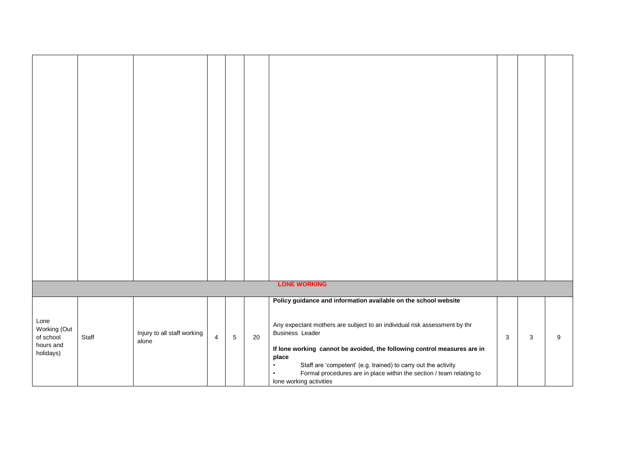|              |       |                             |                |                 |    | <b>LONE WORKING</b>                                                       |   |              |   |
|--------------|-------|-----------------------------|----------------|-----------------|----|---------------------------------------------------------------------------|---|--------------|---|
|              |       |                             |                |                 |    | Policy guidance and information available on the school website           |   |              |   |
|              |       |                             |                |                 |    |                                                                           |   |              |   |
|              |       |                             |                |                 |    |                                                                           |   |              |   |
| Lone         |       |                             |                |                 |    | Any expectant mothers are subject to an individual risk assessment by thr |   |              |   |
| Working (Out |       | Injury to all staff working |                |                 |    | <b>Business Leader</b>                                                    |   |              |   |
| of school    | Staff | alone                       | $\overline{4}$ | $5\phantom{.0}$ | 20 |                                                                           | 3 | $\mathbf{3}$ | 9 |
| hours and    |       |                             |                |                 |    | If lone working cannot be avoided, the following control measures are in  |   |              |   |
| holidays)    |       |                             |                |                 |    |                                                                           |   |              |   |
|              |       |                             |                |                 |    | place                                                                     |   |              |   |
|              |       |                             |                |                 |    | Staff are 'competent' (e.g. trained) to carry out the activity            |   |              |   |
|              |       |                             |                |                 |    | Formal procedures are in place within the section / team relating to      |   |              |   |
|              |       |                             |                |                 |    | lone working activities                                                   |   |              |   |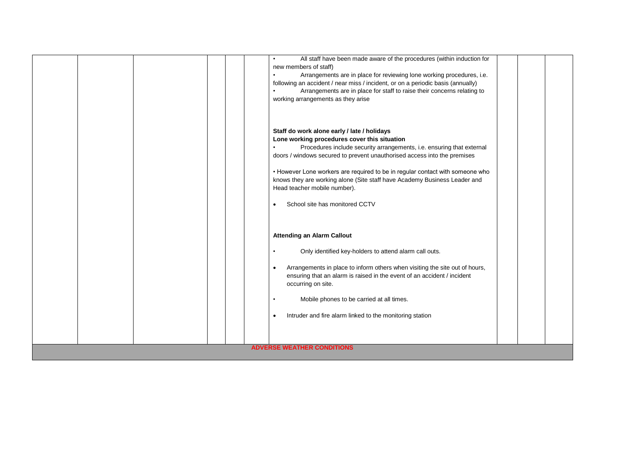|  | All staff have been made aware of the procedures (within induction for                                                                                        |  |  |  |  |  |  |
|--|---------------------------------------------------------------------------------------------------------------------------------------------------------------|--|--|--|--|--|--|
|  | new members of staff)                                                                                                                                         |  |  |  |  |  |  |
|  | Arrangements are in place for reviewing lone working procedures, i.e.<br>٠<br>following an accident / near miss / incident, or on a periodic basis (annually) |  |  |  |  |  |  |
|  | Arrangements are in place for staff to raise their concerns relating to                                                                                       |  |  |  |  |  |  |
|  | working arrangements as they arise                                                                                                                            |  |  |  |  |  |  |
|  |                                                                                                                                                               |  |  |  |  |  |  |
|  |                                                                                                                                                               |  |  |  |  |  |  |
|  |                                                                                                                                                               |  |  |  |  |  |  |
|  | Staff do work alone early / late / holidays                                                                                                                   |  |  |  |  |  |  |
|  | Lone working procedures cover this situation                                                                                                                  |  |  |  |  |  |  |
|  | Procedures include security arrangements, i.e. ensuring that external                                                                                         |  |  |  |  |  |  |
|  | doors / windows secured to prevent unauthorised access into the premises                                                                                      |  |  |  |  |  |  |
|  |                                                                                                                                                               |  |  |  |  |  |  |
|  | • However Lone workers are required to be in regular contact with someone who                                                                                 |  |  |  |  |  |  |
|  | knows they are working alone (Site staff have Academy Business Leader and                                                                                     |  |  |  |  |  |  |
|  | Head teacher mobile number).                                                                                                                                  |  |  |  |  |  |  |
|  | School site has monitored CCTV<br>$\bullet$                                                                                                                   |  |  |  |  |  |  |
|  |                                                                                                                                                               |  |  |  |  |  |  |
|  |                                                                                                                                                               |  |  |  |  |  |  |
|  |                                                                                                                                                               |  |  |  |  |  |  |
|  | <b>Attending an Alarm Callout</b>                                                                                                                             |  |  |  |  |  |  |
|  |                                                                                                                                                               |  |  |  |  |  |  |
|  | Only identified key-holders to attend alarm call outs.                                                                                                        |  |  |  |  |  |  |
|  | Arrangements in place to inform others when visiting the site out of hours,<br>$\bullet$                                                                      |  |  |  |  |  |  |
|  | ensuring that an alarm is raised in the event of an accident / incident                                                                                       |  |  |  |  |  |  |
|  | occurring on site.                                                                                                                                            |  |  |  |  |  |  |
|  |                                                                                                                                                               |  |  |  |  |  |  |
|  | Mobile phones to be carried at all times.                                                                                                                     |  |  |  |  |  |  |
|  |                                                                                                                                                               |  |  |  |  |  |  |
|  | Intruder and fire alarm linked to the monitoring station<br>$\bullet$                                                                                         |  |  |  |  |  |  |
|  |                                                                                                                                                               |  |  |  |  |  |  |
|  |                                                                                                                                                               |  |  |  |  |  |  |
|  | <b>ADVERSE WEATHER CONDITIONS</b>                                                                                                                             |  |  |  |  |  |  |
|  |                                                                                                                                                               |  |  |  |  |  |  |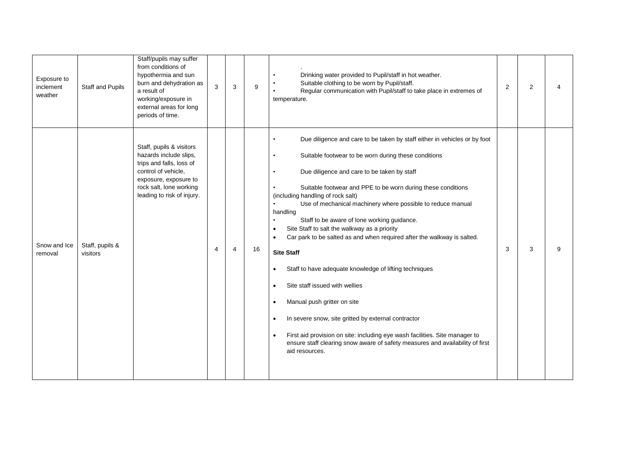| Exposure to<br>inclement<br>weather | Staff and Pupils            | Staff/pupils may suffer<br>from conditions of<br>hypothermia and sun<br>burn and dehydration as<br>a result of<br>working/exposure in<br>external areas for long<br>periods of time.    | 3              | 3 | 9  | Drinking water provided to Pupil/staff in hot weather.<br>Suitable clothing to be worn by Pupil/staff.<br>Regular communication with Pupil/staff to take place in extremes of<br>temperature.                                                                                                                                                                                                                                                                                                                                                                                                                                                                                                                                                                                                                                                                                                                                                                                                                                                                                                   | 2 | 2 | $\overline{4}$ |
|-------------------------------------|-----------------------------|-----------------------------------------------------------------------------------------------------------------------------------------------------------------------------------------|----------------|---|----|-------------------------------------------------------------------------------------------------------------------------------------------------------------------------------------------------------------------------------------------------------------------------------------------------------------------------------------------------------------------------------------------------------------------------------------------------------------------------------------------------------------------------------------------------------------------------------------------------------------------------------------------------------------------------------------------------------------------------------------------------------------------------------------------------------------------------------------------------------------------------------------------------------------------------------------------------------------------------------------------------------------------------------------------------------------------------------------------------|---|---|----------------|
| Snow and Ice<br>removal             | Staff, pupils &<br>visitors | Staff, pupils & visitors<br>hazards include slips,<br>trips and falls, loss of<br>control of vehicle,<br>exposure, exposure to<br>rock salt, lone working<br>leading to risk of injury. | $\overline{4}$ | 4 | 16 | Due diligence and care to be taken by staff either in vehicles or by foot<br>$\bullet$<br>Suitable footwear to be worn during these conditions<br>$\bullet$<br>Due diligence and care to be taken by staff<br>$\bullet$<br>Suitable footwear and PPE to be worn during these conditions<br>(including handling of rock salt)<br>Use of mechanical machinery where possible to reduce manual<br>$\bullet$<br>handling<br>Staff to be aware of lone working guidance.<br>$\bullet$<br>Site Staff to salt the walkway as a priority<br>$\bullet$<br>Car park to be salted as and when required after the walkway is salted.<br>$\bullet$<br><b>Site Staff</b><br>Staff to have adequate knowledge of lifting techniques<br>$\bullet$<br>Site staff issued with wellies<br>$\bullet$<br>Manual push gritter on site<br>$\bullet$<br>In severe snow, site gritted by external contractor<br>$\bullet$<br>First aid provision on site: including eye wash facilities. Site manager to<br>$\bullet$<br>ensure staff clearing snow aware of safety measures and availability of first<br>aid resources. | 3 | 3 | 9              |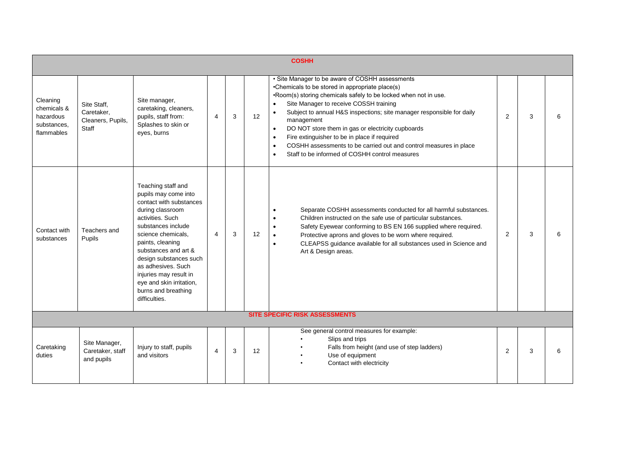|                                                                   |                                                         |                                                                                                                                                                                                                                                                                                                                                     |                |   |    | <b>COSHH</b>                                                                                                                                                                                                                                                                                                                                                                                                                                                                                                                                                                                                     |                |   |   |
|-------------------------------------------------------------------|---------------------------------------------------------|-----------------------------------------------------------------------------------------------------------------------------------------------------------------------------------------------------------------------------------------------------------------------------------------------------------------------------------------------------|----------------|---|----|------------------------------------------------------------------------------------------------------------------------------------------------------------------------------------------------------------------------------------------------------------------------------------------------------------------------------------------------------------------------------------------------------------------------------------------------------------------------------------------------------------------------------------------------------------------------------------------------------------------|----------------|---|---|
| Cleaning<br>chemicals &<br>hazardous<br>substances.<br>flammables | Site Staff,<br>Caretaker.<br>Cleaners, Pupils,<br>Staff | Site manager,<br>caretaking, cleaners,<br>pupils, staff from:<br>Splashes to skin or<br>eyes, burns                                                                                                                                                                                                                                                 | $\overline{4}$ | 3 | 12 | • Site Manager to be aware of COSHH assessments<br>•Chemicals to be stored in appropriate place(s)<br>.Room(s) storing chemicals safely to be locked when not in use.<br>Site Manager to receive COSSH training<br>$\bullet$<br>Subject to annual H&S inspections; site manager responsible for daily<br>$\bullet$<br>management<br>DO NOT store them in gas or electricity cupboards<br>$\bullet$<br>Fire extinguisher to be in place if required<br>$\bullet$<br>COSHH assessments to be carried out and control measures in place<br>$\bullet$<br>Staff to be informed of COSHH control measures<br>$\bullet$ | $\overline{2}$ | 3 | 6 |
| Contact with<br>substances                                        | Teachers and<br>Pupils                                  | Teaching staff and<br>pupils may come into<br>contact with substances<br>during classroom<br>activities. Such<br>substances include<br>science chemicals,<br>paints, cleaning<br>substances and art &<br>design substances such<br>as adhesives. Such<br>injuries may result in<br>eye and skin irritation,<br>burns and breathing<br>difficulties. | 4              | 3 | 12 | Separate COSHH assessments conducted for all harmful substances.<br>Children instructed on the safe use of particular substances.<br>$\bullet$<br>Safety Eyewear conforming to BS EN 166 supplied where required.<br>$\bullet$<br>Protective aprons and gloves to be worn where required.<br>$\bullet$<br>CLEAPSS guidance available for all substances used in Science and<br>$\bullet$<br>Art & Design areas.                                                                                                                                                                                                  | 2              | 3 |   |
|                                                                   |                                                         |                                                                                                                                                                                                                                                                                                                                                     |                |   |    | <b>SITE SPECIFIC RISK ASSESSMENTS</b>                                                                                                                                                                                                                                                                                                                                                                                                                                                                                                                                                                            |                |   |   |
| Caretaking<br>duties                                              | Site Manager,<br>Caretaker, staff<br>and pupils         | Injury to staff, pupils<br>and visitors                                                                                                                                                                                                                                                                                                             | $\overline{4}$ | 3 | 12 | See general control measures for example:<br>Slips and trips<br>Falls from height (and use of step ladders)<br>Use of equipment<br>Contact with electricity                                                                                                                                                                                                                                                                                                                                                                                                                                                      | $\overline{2}$ | 3 | 6 |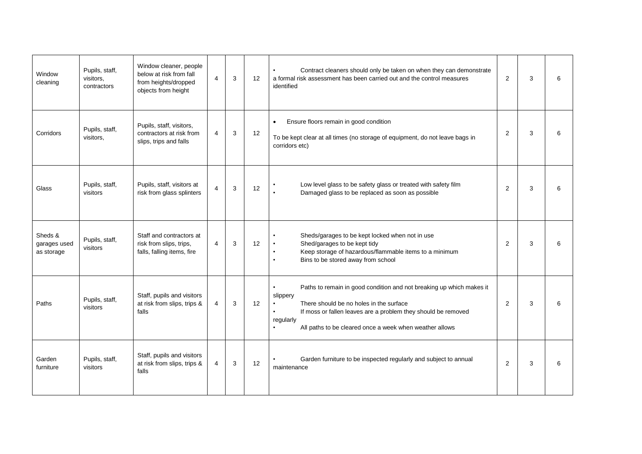| Window<br>cleaning                    | Pupils, staff,<br>visitors.<br>contractors | Window cleaner, people<br>below at risk from fall<br>from heights/dropped<br>objects from height | $\overline{\mathbf{4}}$ | 3 | 12 | Contract cleaners should only be taken on when they can demonstrate<br>$\bullet$<br>a formal risk assessment has been carried out and the control measures<br>identified                                                                                                          | 2 | 3 | 6 |
|---------------------------------------|--------------------------------------------|--------------------------------------------------------------------------------------------------|-------------------------|---|----|-----------------------------------------------------------------------------------------------------------------------------------------------------------------------------------------------------------------------------------------------------------------------------------|---|---|---|
| Corridors                             | Pupils, staff,<br>visitors.                | Pupils, staff, visitors,<br>contractors at risk from<br>slips, trips and falls                   | $\overline{4}$          | 3 | 12 | Ensure floors remain in good condition<br>$\bullet$<br>To be kept clear at all times (no storage of equipment, do not leave bags in<br>corridors etc)                                                                                                                             | 2 | 3 | 6 |
| Glass                                 | Pupils, staff,<br>visitors                 | Pupils, staff, visitors at<br>risk from glass splinters                                          | 4                       | 3 | 12 | Low level glass to be safety glass or treated with safety film<br>Damaged glass to be replaced as soon as possible<br>$\bullet$                                                                                                                                                   | 2 | 3 | 6 |
| Sheds &<br>garages used<br>as storage | Pupils, staff,<br>visitors                 | Staff and contractors at<br>risk from slips, trips,<br>falls, falling items, fire                | $\overline{4}$          | 3 | 12 | Sheds/garages to be kept locked when not in use<br>Shed/garages to be kept tidy<br>Keep storage of hazardous/flammable items to a minimum<br>$\bullet$<br>Bins to be stored away from school                                                                                      | 2 | 3 | 6 |
| Paths                                 | Pupils, staff,<br>visitors                 | Staff, pupils and visitors<br>at risk from slips, trips &<br>falls                               | 4                       | 3 | 12 | Paths to remain in good condition and not breaking up which makes it<br>slippery<br>There should be no holes in the surface<br>If moss or fallen leaves are a problem they should be removed<br>$\bullet$<br>regularly<br>All paths to be cleared once a week when weather allows | 2 | 3 | 6 |
| Garden<br>furniture                   | Pupils, staff,<br>visitors                 | Staff, pupils and visitors<br>at risk from slips, trips &<br>falls                               | 4                       | 3 | 12 | Garden furniture to be inspected regularly and subject to annual<br>maintenance                                                                                                                                                                                                   | 2 | 3 | 6 |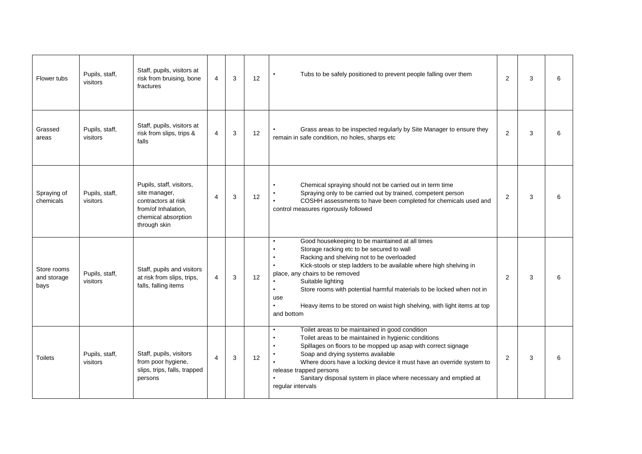| Flower tubs                        | Pupils, staff,<br>visitors | Staff, pupils, visitors at<br>risk from bruising, bone<br>fractures                                                            | 4                        | 3 | 12 | Tubs to be safely positioned to prevent people falling over them                                                                                                                                                                                                                                                                                                                                                                                                                         | 2 | 3 | 6 |
|------------------------------------|----------------------------|--------------------------------------------------------------------------------------------------------------------------------|--------------------------|---|----|------------------------------------------------------------------------------------------------------------------------------------------------------------------------------------------------------------------------------------------------------------------------------------------------------------------------------------------------------------------------------------------------------------------------------------------------------------------------------------------|---|---|---|
| Grassed<br>areas                   | Pupils, staff,<br>visitors | Staff, pupils, visitors at<br>risk from slips, trips &<br>falls                                                                | $\overline{4}$           | 3 | 12 | Grass areas to be inspected regularly by Site Manager to ensure they<br>remain in safe condition, no holes, sharps etc                                                                                                                                                                                                                                                                                                                                                                   | 2 | 3 | 6 |
| Spraying of<br>chemicals           | Pupils, staff,<br>visitors | Pupils, staff, visitors,<br>site manager,<br>contractors at risk<br>from/of Inhalation.<br>chemical absorption<br>through skin | $\overline{\mathbf{4}}$  | 3 | 12 | Chemical spraying should not be carried out in term time<br>$\bullet$<br>Spraying only to be carried out by trained, competent person<br>COSHH assessments to have been completed for chemicals used and<br>control measures rigorously followed                                                                                                                                                                                                                                         | 2 | 3 | 6 |
| Store rooms<br>and storage<br>bays | Pupils, staff,<br>visitors | Staff, pupils and visitors<br>at risk from slips, trips,<br>falls, falling items                                               | 4                        | 3 | 12 | Good housekeeping to be maintained at all times<br>$\bullet$<br>Storage racking etc to be secured to wall<br>$\bullet$<br>Racking and shelving not to be overloaded<br>Kick-stools or step ladders to be available where high shelving in<br>place, any chairs to be removed<br>Suitable lighting<br>Store rooms with potential harmful materials to be locked when not in<br>$\bullet$<br>use<br>Heavy items to be stored on waist high shelving, with light items at top<br>and bottom | 2 | 3 | 6 |
| <b>Toilets</b>                     | Pupils, staff,<br>visitors | Staff, pupils, visitors<br>from poor hygiene,<br>slips, trips, falls, trapped<br>persons                                       | $\overline{\mathcal{A}}$ | 3 | 12 | Toilet areas to be maintained in good condition<br>Toilet areas to be maintained in hygienic conditions<br>Spillages on floors to be mopped up asap with correct signage<br>Soap and drying systems available<br>Where doors have a locking device it must have an override system to<br>release trapped persons<br>Sanitary disposal system in place where necessary and emptied at<br>regular intervals                                                                                | 2 | 3 | 6 |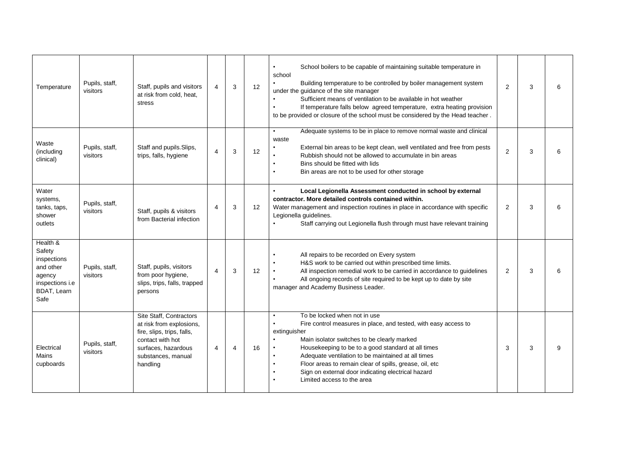| Temperature                                                                                               | Pupils, staff,<br>visitors | Staff, pupils and visitors<br>at risk from cold, heat,<br>stress                                                                                               | $\overline{4}$ | 3 | 12 | School boilers to be capable of maintaining suitable temperature in<br>$\bullet$<br>school<br>Building temperature to be controlled by boiler management system<br>under the guidance of the site manager<br>Sufficient means of ventilation to be available in hot weather<br>If temperature falls below agreed temperature, extra heating provision<br>$\bullet$<br>to be provided or closure of the school must be considered by the Head teacher.                         | $\overline{2}$ | 3 | 6 |
|-----------------------------------------------------------------------------------------------------------|----------------------------|----------------------------------------------------------------------------------------------------------------------------------------------------------------|----------------|---|----|-------------------------------------------------------------------------------------------------------------------------------------------------------------------------------------------------------------------------------------------------------------------------------------------------------------------------------------------------------------------------------------------------------------------------------------------------------------------------------|----------------|---|---|
| Waste<br>(including<br>clinical)                                                                          | Pupils, staff,<br>visitors | Staff and pupils. Slips,<br>trips, falls, hygiene                                                                                                              | 4              | 3 | 12 | Adequate systems to be in place to remove normal waste and clinical<br>$\bullet$<br>waste<br>External bin areas to be kept clean, well ventilated and free from pests<br>$\bullet$<br>Rubbish should not be allowed to accumulate in bin areas<br>Bins should be fitted with lids<br>Bin areas are not to be used for other storage<br>$\bullet$                                                                                                                              | $\overline{2}$ | 3 | 6 |
| Water<br>systems,<br>tanks, taps,<br>shower<br>outlets                                                    | Pupils, staff,<br>visitors | Staff, pupils & visitors<br>from Bacterial infection                                                                                                           | 4              | 3 | 12 | Local Legionella Assessment conducted in school by external<br>contractor. More detailed controls contained within.<br>Water management and inspection routines in place in accordance with specific<br>Legionella guidelines.<br>Staff carrying out Legionella flush through must have relevant training                                                                                                                                                                     | $\overline{2}$ | 3 | 6 |
| Health &<br>Safety<br>inspections<br>and other<br>agency<br>inspections i.e<br><b>BDAT, Learn</b><br>Safe | Pupils, staff,<br>visitors | Staff, pupils, visitors<br>from poor hygiene,<br>slips, trips, falls, trapped<br>persons                                                                       | 4              | 3 | 12 | All repairs to be recorded on Every system<br>$\bullet$<br>H&S work to be carried out within prescribed time limits.<br>All inspection remedial work to be carried in accordance to quidelines<br>All ongoing records of site required to be kept up to date by site<br>$\bullet$<br>manager and Academy Business Leader.                                                                                                                                                     | $\overline{2}$ | 3 | 6 |
| Electrical<br>Mains<br>cupboards                                                                          | Pupils, staff,<br>visitors | Site Staff, Contractors<br>at risk from explosions,<br>fire, slips, trips, falls,<br>contact with hot<br>surfaces, hazardous<br>substances, manual<br>handling | 4              | 4 | 16 | To be locked when not in use<br>$\bullet$<br>Fire control measures in place, and tested, with easy access to<br>$\bullet$<br>extinguisher<br>Main isolator switches to be clearly marked<br>Housekeeping to be to a good standard at all times<br>Adequate ventilation to be maintained at all times<br>$\bullet$<br>Floor areas to remain clear of spills, grease, oil, etc<br>$\bullet$<br>Sign on external door indicating electrical hazard<br>Limited access to the area | 3              | 3 | 9 |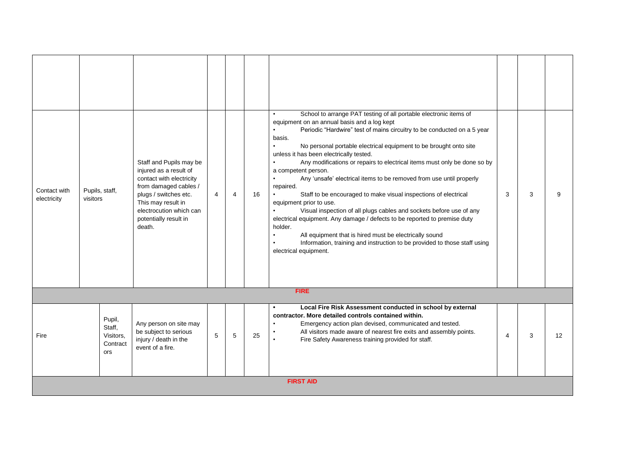| Contact with<br>electricity | Pupils, staff,<br>visitors                       | Staff and Pupils may be<br>injured as a result of<br>contact with electricity<br>from damaged cables /<br>plugs / switches etc.<br>This may result in<br>electrocution which can<br>potentially result in<br>death. | $\overline{4}$ | 4 | 16 | School to arrange PAT testing of all portable electronic items of<br>equipment on an annual basis and a log kept<br>$\bullet$<br>Periodic "Hardwire" test of mains circuitry to be conducted on a 5 year<br>basis.<br>No personal portable electrical equipment to be brought onto site<br>unless it has been electrically tested.<br>Any modifications or repairs to electrical items must only be done so by<br>$\bullet$<br>a competent person.<br>Any 'unsafe' electrical items to be removed from use until properly<br>repaired.<br>Staff to be encouraged to make visual inspections of electrical<br>equipment prior to use.<br>Visual inspection of all plugs cables and sockets before use of any<br>electrical equipment. Any damage / defects to be reported to premise duty<br>holder.<br>All equipment that is hired must be electrically sound<br>Information, training and instruction to be provided to those staff using<br>electrical equipment. | 3              | 3 | $\mathbf{Q}$ |
|-----------------------------|--------------------------------------------------|---------------------------------------------------------------------------------------------------------------------------------------------------------------------------------------------------------------------|----------------|---|----|---------------------------------------------------------------------------------------------------------------------------------------------------------------------------------------------------------------------------------------------------------------------------------------------------------------------------------------------------------------------------------------------------------------------------------------------------------------------------------------------------------------------------------------------------------------------------------------------------------------------------------------------------------------------------------------------------------------------------------------------------------------------------------------------------------------------------------------------------------------------------------------------------------------------------------------------------------------------|----------------|---|--------------|
|                             |                                                  |                                                                                                                                                                                                                     |                |   |    | <b>FIRE</b>                                                                                                                                                                                                                                                                                                                                                                                                                                                                                                                                                                                                                                                                                                                                                                                                                                                                                                                                                         |                |   |              |
| Fire                        | Pupil,<br>Staff,<br>Visitors,<br>Contract<br>ors | Any person on site may<br>be subject to serious<br>injury / death in the<br>event of a fire.                                                                                                                        | 5              | 5 | 25 | Local Fire Risk Assessment conducted in school by external<br>contractor. More detailed controls contained within.<br>Emergency action plan devised, communicated and tested.<br>All visitors made aware of nearest fire exits and assembly points.<br>Fire Safety Awareness training provided for staff.<br>$\bullet$                                                                                                                                                                                                                                                                                                                                                                                                                                                                                                                                                                                                                                              | $\overline{4}$ | 3 | 12           |
|                             | <b>FIRST AID</b>                                 |                                                                                                                                                                                                                     |                |   |    |                                                                                                                                                                                                                                                                                                                                                                                                                                                                                                                                                                                                                                                                                                                                                                                                                                                                                                                                                                     |                |   |              |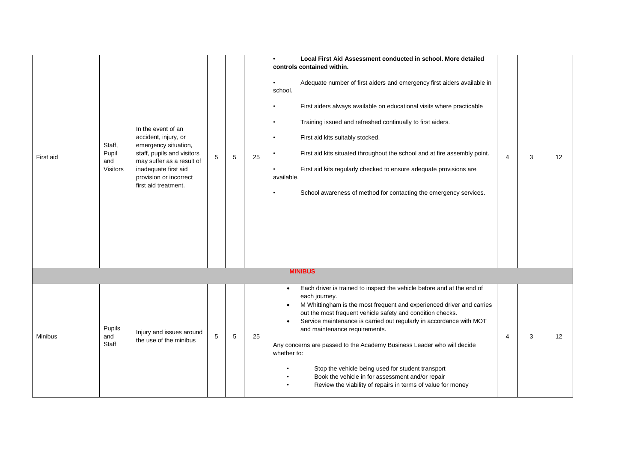|                |                                    |                                                                                                                                                                                                         |   |   |    | Local First Aid Assessment conducted in school. More detailed                                                                                                                                                                                                                                                                                                                                                                                                                                                                                                                                                                     |                |   |    |
|----------------|------------------------------------|---------------------------------------------------------------------------------------------------------------------------------------------------------------------------------------------------------|---|---|----|-----------------------------------------------------------------------------------------------------------------------------------------------------------------------------------------------------------------------------------------------------------------------------------------------------------------------------------------------------------------------------------------------------------------------------------------------------------------------------------------------------------------------------------------------------------------------------------------------------------------------------------|----------------|---|----|
| First aid      | Staff,<br>Pupil<br>and<br>Visitors | In the event of an<br>accident, injury, or<br>emergency situation,<br>staff, pupils and visitors<br>may suffer as a result of<br>inadequate first aid<br>provision or incorrect<br>first aid treatment. | 5 | 5 | 25 | controls contained within.<br>Adequate number of first aiders and emergency first aiders available in<br>$\bullet$<br>school.<br>First aiders always available on educational visits where practicable<br>$\bullet$<br>Training issued and refreshed continually to first aiders.<br>$\bullet$<br>First aid kits suitably stocked.<br>$\bullet$<br>First aid kits situated throughout the school and at fire assembly point.<br>$\bullet$<br>First aid kits regularly checked to ensure adequate provisions are<br>available.<br>School awareness of method for contacting the emergency services.<br>$\bullet$                   | $\overline{4}$ | 3 | 12 |
|                |                                    |                                                                                                                                                                                                         |   |   |    | <b>MINIBUS</b>                                                                                                                                                                                                                                                                                                                                                                                                                                                                                                                                                                                                                    |                |   |    |
|                |                                    |                                                                                                                                                                                                         |   |   |    |                                                                                                                                                                                                                                                                                                                                                                                                                                                                                                                                                                                                                                   |                |   |    |
| <b>Minibus</b> | Pupils<br>and<br>Staff             | Injury and issues around<br>the use of the minibus                                                                                                                                                      | 5 | 5 | 25 | Each driver is trained to inspect the vehicle before and at the end of<br>$\bullet$<br>each journey.<br>M Whittingham is the most frequent and experienced driver and carries<br>out the most frequent vehicle safety and condition checks.<br>Service maintenance is carried out regularly in accordance with MOT<br>$\bullet$<br>and maintenance requirements.<br>Any concerns are passed to the Academy Business Leader who will decide<br>whether to:<br>Stop the vehicle being used for student transport<br>Book the vehicle in for assessment and/or repair<br>Review the viability of repairs in terms of value for money | $\overline{4}$ | 3 | 12 |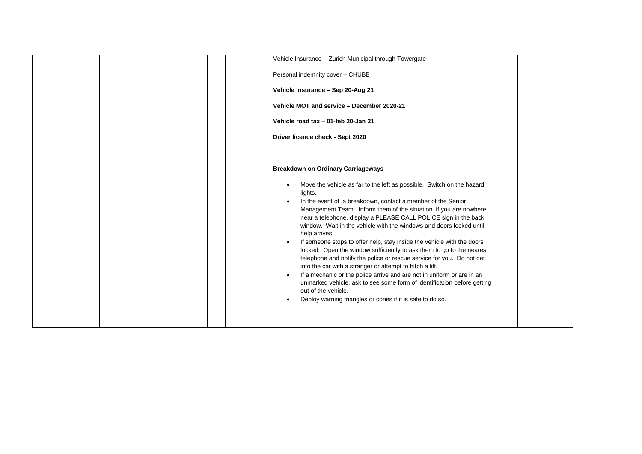|  | Vehicle Insurance - Zurich Municipal through Towergate                                                                                                                                                                                                                                                                                                                                                                                                                                                                                                                                                                                                                                                                                                                                                                                                                                                                                     |
|--|--------------------------------------------------------------------------------------------------------------------------------------------------------------------------------------------------------------------------------------------------------------------------------------------------------------------------------------------------------------------------------------------------------------------------------------------------------------------------------------------------------------------------------------------------------------------------------------------------------------------------------------------------------------------------------------------------------------------------------------------------------------------------------------------------------------------------------------------------------------------------------------------------------------------------------------------|
|  | Personal indemnity cover - CHUBB                                                                                                                                                                                                                                                                                                                                                                                                                                                                                                                                                                                                                                                                                                                                                                                                                                                                                                           |
|  | Vehicle insurance - Sep 20-Aug 21                                                                                                                                                                                                                                                                                                                                                                                                                                                                                                                                                                                                                                                                                                                                                                                                                                                                                                          |
|  | Vehicle MOT and service - December 2020-21                                                                                                                                                                                                                                                                                                                                                                                                                                                                                                                                                                                                                                                                                                                                                                                                                                                                                                 |
|  | Vehicle road tax - 01-feb 20-Jan 21                                                                                                                                                                                                                                                                                                                                                                                                                                                                                                                                                                                                                                                                                                                                                                                                                                                                                                        |
|  | Driver licence check - Sept 2020                                                                                                                                                                                                                                                                                                                                                                                                                                                                                                                                                                                                                                                                                                                                                                                                                                                                                                           |
|  |                                                                                                                                                                                                                                                                                                                                                                                                                                                                                                                                                                                                                                                                                                                                                                                                                                                                                                                                            |
|  | <b>Breakdown on Ordinary Carriageways</b>                                                                                                                                                                                                                                                                                                                                                                                                                                                                                                                                                                                                                                                                                                                                                                                                                                                                                                  |
|  | Move the vehicle as far to the left as possible. Switch on the hazard<br>$\bullet$<br>lights.<br>In the event of a breakdown, contact a member of the Senior<br>Management Team. Inform them of the situation .If you are nowhere<br>near a telephone, display a PLEASE CALL POLICE sign in the back<br>window. Wait in the vehicle with the windows and doors locked until<br>help arrives.<br>If someone stops to offer help, stay inside the vehicle with the doors<br>locked. Open the window sufficiently to ask them to go to the nearest<br>telephone and notify the police or rescue service for you. Do not get<br>into the car with a stranger or attempt to hitch a lift.<br>If a mechanic or the police arrive and are not in uniform or are in an<br>$\bullet$<br>unmarked vehicle, ask to see some form of identification before getting<br>out of the vehicle.<br>Deploy warning triangles or cones if it is safe to do so. |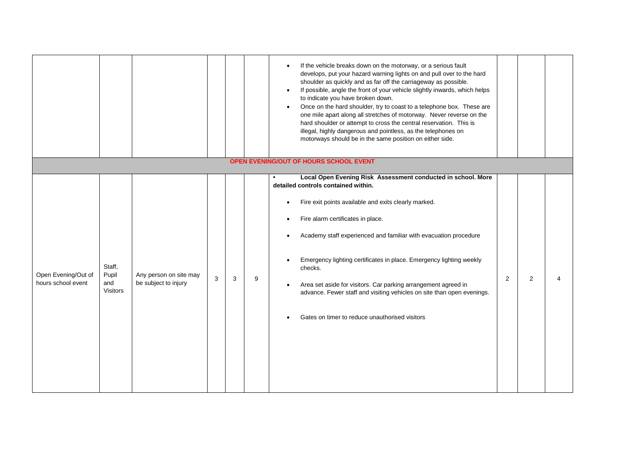|                                           |                                           |                                                |   |   |   | If the vehicle breaks down on the motorway, or a serious fault<br>$\bullet$<br>develops, put your hazard warning lights on and pull over to the hard<br>shoulder as quickly and as far off the carriageway as possible.<br>If possible, angle the front of your vehicle slightly inwards, which helps<br>to indicate you have broken down.<br>Once on the hard shoulder, try to coast to a telephone box. These are<br>$\bullet$<br>one mile apart along all stretches of motorway. Never reverse on the<br>hard shoulder or attempt to cross the central reservation. This is<br>illegal, highly dangerous and pointless, as the telephones on<br>motorways should be in the same position on either side. |                |                |  |
|-------------------------------------------|-------------------------------------------|------------------------------------------------|---|---|---|-------------------------------------------------------------------------------------------------------------------------------------------------------------------------------------------------------------------------------------------------------------------------------------------------------------------------------------------------------------------------------------------------------------------------------------------------------------------------------------------------------------------------------------------------------------------------------------------------------------------------------------------------------------------------------------------------------------|----------------|----------------|--|
|                                           |                                           |                                                |   |   |   | OPEN EVENING/OUT OF HOURS SCHOOL EVENT                                                                                                                                                                                                                                                                                                                                                                                                                                                                                                                                                                                                                                                                      |                |                |  |
| Open Evening/Out of<br>hours school event | Staff,<br>Pupil<br>and<br><b>Visitors</b> | Any person on site may<br>be subject to injury | 3 | 3 | 9 | Local Open Evening Risk Assessment conducted in school. More<br>detailed controls contained within.<br>Fire exit points available and exits clearly marked.<br>$\bullet$<br>Fire alarm certificates in place.<br>$\bullet$<br>Academy staff experienced and familiar with evacuation procedure<br>$\bullet$<br>Emergency lighting certificates in place. Emergency lighting weekly<br>$\bullet$<br>checks.<br>Area set aside for visitors. Car parking arrangement agreed in<br>$\bullet$<br>advance. Fewer staff and visiting vehicles on site than open evenings.<br>Gates on timer to reduce unauthorised visitors<br>$\bullet$                                                                          | $\overline{2}$ | $\overline{2}$ |  |